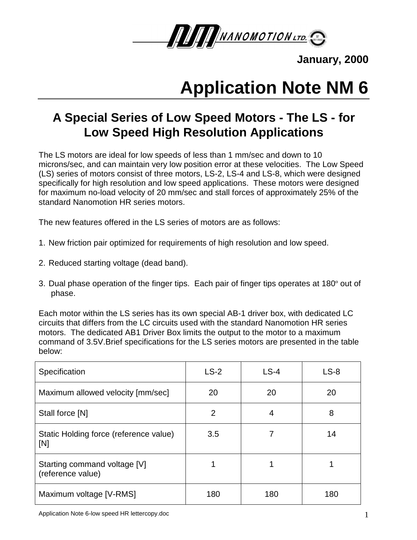

**January, 2000**

# **Application Note NM 6**

## **A Special Series of Low Speed Motors - The LS - for Low Speed High Resolution Applications**

The LS motors are ideal for low speeds of less than 1 mm/sec and down to 10 microns/sec, and can maintain very low position error at these velocities. The Low Speed (LS) series of motors consist of three motors, LS-2, LS-4 and LS-8, which were designed specifically for high resolution and low speed applications. These motors were designed for maximum no-load velocity of 20 mm/sec and stall forces of approximately 25% of the standard Nanomotion HR series motors.

The new features offered in the LS series of motors are as follows:

- 1. New friction pair optimized for requirements of high resolution and low speed.
- 2. Reduced starting voltage (dead band).
- 3. Dual phase operation of the finger tips. Each pair of finger tips operates at 180º out of phase.

Each motor within the LS series has its own special AB-1 driver box, with dedicated LC circuits that differs from the LC circuits used with the standard Nanomotion HR series motors. The dedicated AB1 Driver Box limits the output to the motor to a maximum command of 3.5V.Brief specifications for the LS series motors are presented in the table below:

| Specification                                     | $LS-2$         | $LS-4$ | $LS-8$ |
|---------------------------------------------------|----------------|--------|--------|
| Maximum allowed velocity [mm/sec]                 | 20             | 20     | 20     |
| Stall force [N]                                   | $\overline{2}$ | 4      | 8      |
| Static Holding force (reference value)<br>[N]     | 3.5            |        | 14     |
| Starting command voltage [V]<br>(reference value) |                |        |        |
| Maximum voltage [V-RMS]                           | 180            | 180    | 180    |

Application Note 6-low speed HR lettercopy.doc 1 and 1 and 2 and 2 and 2 and 2 and 2 and 2 and 2 and 2 and 2 and 2 and 2 and 2 and 2 and 2 and 2 and 2 and 2 and 2 and 2 and 2 and 2 and 2 and 2 and 2 and 2 and 2 and 2 and 2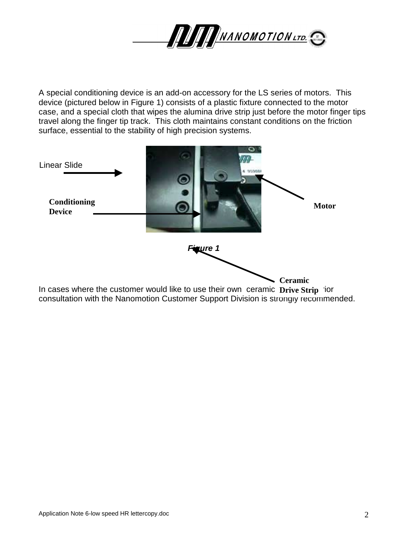

A special conditioning device is an add-on accessory for the LS series of motors. This device (pictured below in Figure 1) consists of a plastic fixture connected to the motor case, and a special cloth that wipes the alumina drive strip just before the motor finger tips travel along the finger tip track. This cloth maintains constant conditions on the friction surface, essential to the stability of high precision systems.

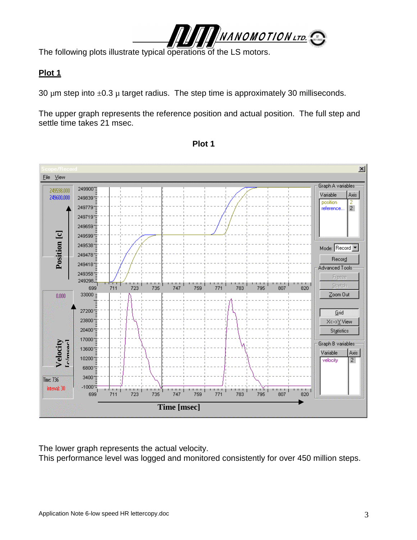

The following plots illustrate typical operations of the LS motors.

### **Plot 1**

30  $\mu$ m step into  $\pm$ 0.3  $\mu$  target radius. The step time is approximately 30 milliseconds.

The upper graph represents the reference position and actual position. The full step and settle time takes 21 msec.



**Plot 1**

The lower graph represents the actual velocity.